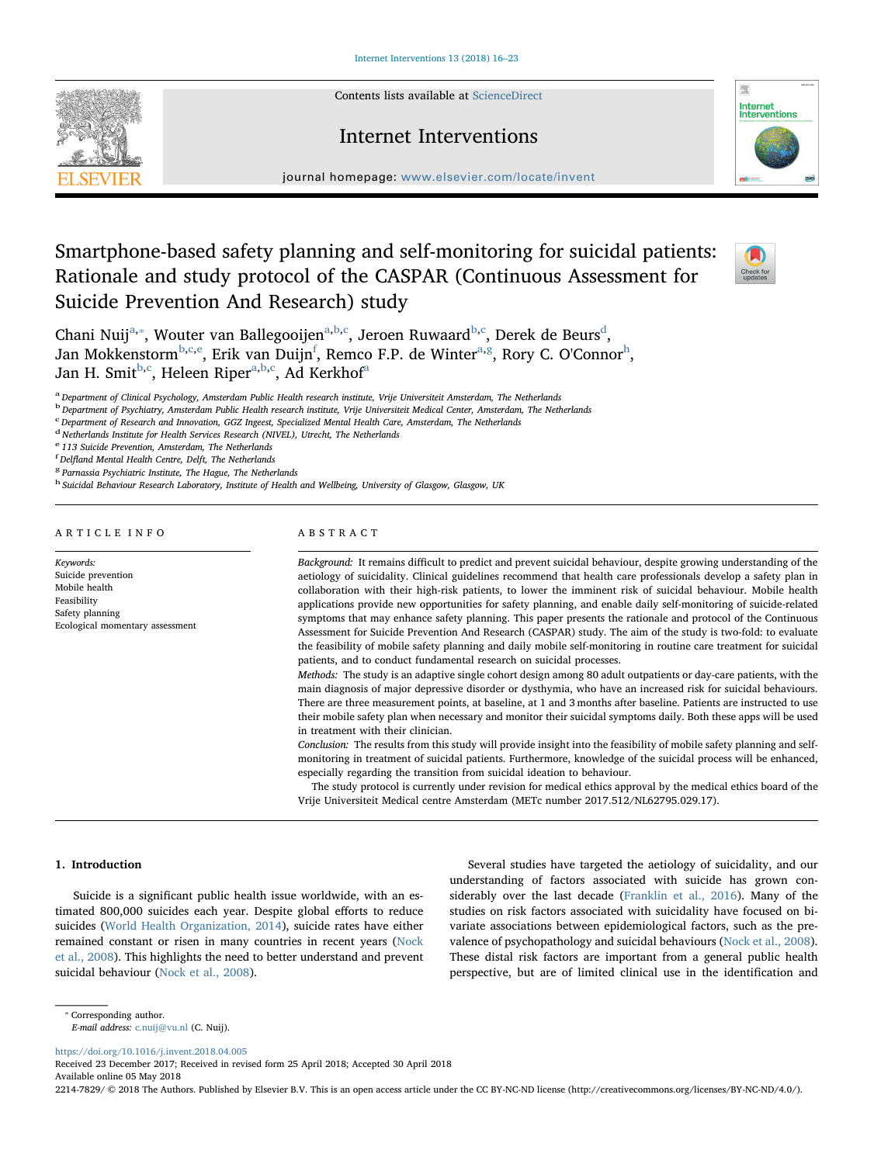Contents lists available at [ScienceDirect](http://www.sciencedirect.com/science/journal/22147829)





journal homepage: [www.elsevier.com/locate/invent](https://www.elsevier.com/locate/invent)

# Smartphone-based safety planning and self-monitoring for suicidal patients: Rationale and study protocol of the CASPAR (Continuous Assessment for Suicide Prevention And Research) study



Ch[a](#page-0-0)ni Nuij<sup>a,</sup>\*, Wouter van Ballegooijen<sup>a[,b,](#page-0-2)[c](#page-0-3)</sup>, Jeroen Ruwaard<sup>[b](#page-0-2),c</sup>, Derek de Beurs<sup>d</sup>, Jan Mokkenstorm<sup>[b](#page-0-2)[,c](#page-0-3)[,e](#page-0-5)</sup>, Erik van Duijn<sup>[f](#page-0-6)</sup>, Remco F.P. de Winter<sup>[a](#page-0-0),[g](#page-0-7)</sup>, Rory C. O'Connor<sup>[h](#page-0-8)</sup>, Jan H. Smit<sup>[b,](#page-0-2)[c](#page-0-3)</sup>, Heleen Riper<sup>[a](#page-0-0),[b](#page-0-2)[,c](#page-0-3)</sup>, Ad Kerkhof<sup>a</sup>

<span id="page-0-0"></span>a Department of Clinical Psychology, Amsterdam Public Health research institute, Vrije Universiteit Amsterdam, The Netherlands

<span id="page-0-2"></span><sup>b</sup> Department of Psychiatry, Amsterdam Public Health research institute, Vrije Universiteit Medical Center, Amsterdam, The Netherlands

<span id="page-0-3"></span>c Department of Research and Innovation, GGZ Ingeest, Specialized Mental Health Care, Amsterdam, The Netherlands

<span id="page-0-4"></span><sup>d</sup> Netherlands Institute for Health Services Research (NIVEL), Utrecht, The Netherlands

<span id="page-0-5"></span><sup>e</sup> 113 Suicide Prevention, Amsterdam, The Netherlands

<span id="page-0-6"></span><sup>f</sup> Delfland Mental Health Centre, Delft, The Netherlands

<span id="page-0-7"></span><sup>8</sup> Parnassia Psychiatric Institute, The Hague, The Netherlands

<span id="page-0-8"></span>h Suicidal Behaviour Research Laboratory, Institute of Health and Wellbeing, University of Glasgow, Glasgow, UK

#### ARTICLE INFO

Keywords: Suicide prevention Mobile health Feasibility Safety planning Ecological momentary assessment

# ABSTRACT

Background: It remains difficult to predict and prevent suicidal behaviour, despite growing understanding of the aetiology of suicidality. Clinical guidelines recommend that health care professionals develop a safety plan in collaboration with their high-risk patients, to lower the imminent risk of suicidal behaviour. Mobile health applications provide new opportunities for safety planning, and enable daily self-monitoring of suicide-related symptoms that may enhance safety planning. This paper presents the rationale and protocol of the Continuous Assessment for Suicide Prevention And Research (CASPAR) study. The aim of the study is two-fold: to evaluate the feasibility of mobile safety planning and daily mobile self-monitoring in routine care treatment for suicidal patients, and to conduct fundamental research on suicidal processes.

Methods: The study is an adaptive single cohort design among 80 adult outpatients or day-care patients, with the main diagnosis of major depressive disorder or dysthymia, who have an increased risk for suicidal behaviours. There are three measurement points, at baseline, at 1 and 3 months after baseline. Patients are instructed to use their mobile safety plan when necessary and monitor their suicidal symptoms daily. Both these apps will be used in treatment with their clinician.

Conclusion: The results from this study will provide insight into the feasibility of mobile safety planning and selfmonitoring in treatment of suicidal patients. Furthermore, knowledge of the suicidal process will be enhanced, especially regarding the transition from suicidal ideation to behaviour.

The study protocol is currently under revision for medical ethics approval by the medical ethics board of the Vrije Universiteit Medical centre Amsterdam (METc number 2017.512/NL62795.029.17).

#### 1. Introduction

Suicide is a significant public health issue worldwide, with an estimated 800,000 suicides each year. Despite global efforts to reduce suicides ([World Health Organization, 2014](#page-7-0)), suicide rates have either remained constant or risen in many countries in recent years ([Nock](#page-6-0) [et al., 2008\)](#page-6-0). This highlights the need to better understand and prevent suicidal behaviour ([Nock et al., 2008](#page-6-0)).

Several studies have targeted the aetiology of suicidality, and our understanding of factors associated with suicide has grown considerably over the last decade [\(Franklin et al., 2016\)](#page-6-1). Many of the studies on risk factors associated with suicidality have focused on bivariate associations between epidemiological factors, such as the prevalence of psychopathology and suicidal behaviours [\(Nock et al., 2008](#page-6-0)). These distal risk factors are important from a general public health perspective, but are of limited clinical use in the identification and

<https://doi.org/10.1016/j.invent.2018.04.005>

Received 23 December 2017; Received in revised form 25 April 2018; Accepted 30 April 2018 Available online 05 May 2018

2214-7829/ © 2018 The Authors. Published by Elsevier B.V. This is an open access article under the CC BY-NC-ND license (http://creativecommons.org/licenses/BY-NC-ND/4.0/).

<span id="page-0-1"></span><sup>⁎</sup> Corresponding author.

E-mail address: [c.nuij@vu.nl](mailto:c.nuij@vu.nl) (C. Nuij).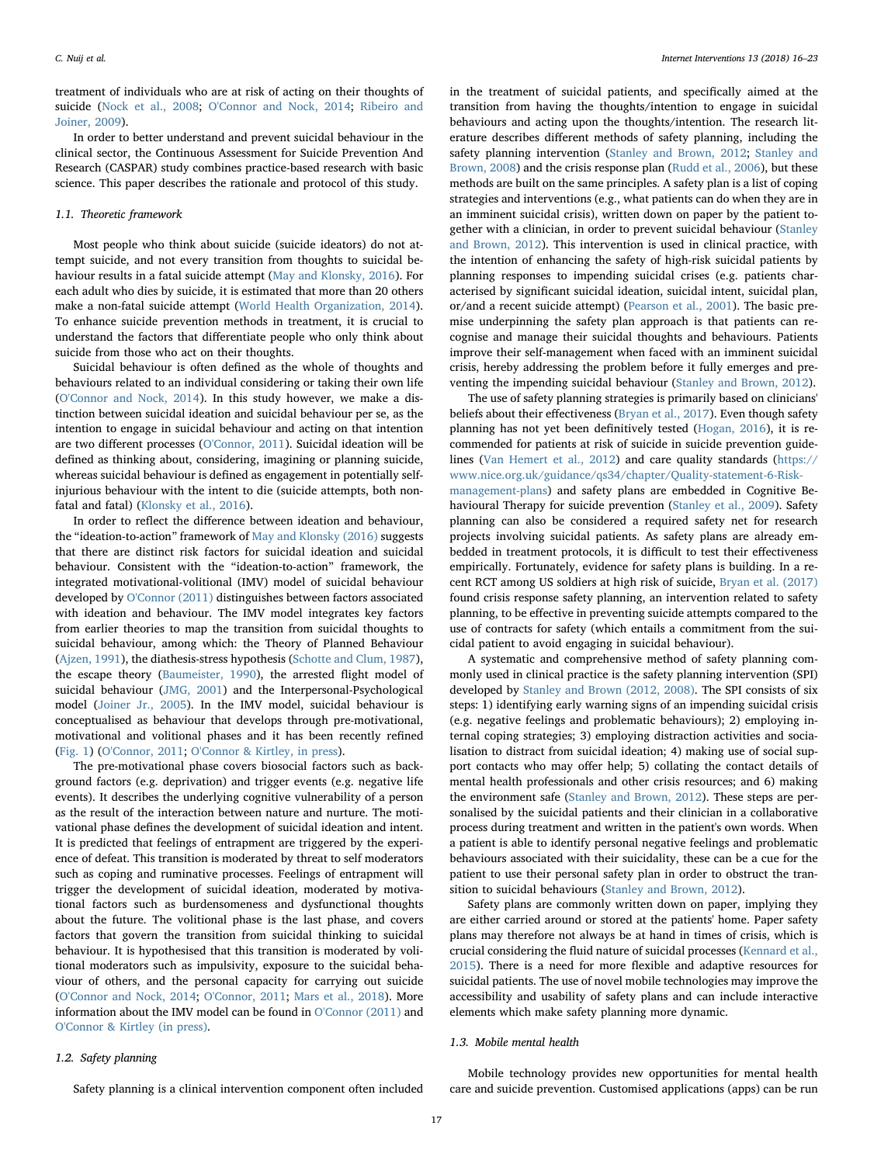treatment of individuals who are at risk of acting on their thoughts of suicide ([Nock et al., 2008;](#page-6-0) [O'Connor and Nock, 2014](#page-6-2); [Ribeiro and](#page-6-3) [Joiner, 2009\)](#page-6-3).

In order to better understand and prevent suicidal behaviour in the clinical sector, the Continuous Assessment for Suicide Prevention And Research (CASPAR) study combines practice-based research with basic science. This paper describes the rationale and protocol of this study.

#### 1.1. Theoretic framework

Most people who think about suicide (suicide ideators) do not attempt suicide, and not every transition from thoughts to suicidal behaviour results in a fatal suicide attempt ([May and Klonsky, 2016](#page-6-4)). For each adult who dies by suicide, it is estimated that more than 20 others make a non-fatal suicide attempt ([World Health Organization, 2014](#page-7-0)). To enhance suicide prevention methods in treatment, it is crucial to understand the factors that differentiate people who only think about suicide from those who act on their thoughts.

Suicidal behaviour is often defined as the whole of thoughts and behaviours related to an individual considering or taking their own life ([O'Connor and Nock, 2014](#page-6-2)). In this study however, we make a distinction between suicidal ideation and suicidal behaviour per se, as the intention to engage in suicidal behaviour and acting on that intention are two different processes ([O'Connor, 2011](#page-6-5)). Suicidal ideation will be defined as thinking about, considering, imagining or planning suicide, whereas suicidal behaviour is defined as engagement in potentially selfinjurious behaviour with the intent to die (suicide attempts, both nonfatal and fatal) [\(Klonsky et al., 2016\)](#page-6-6).

In order to reflect the difference between ideation and behaviour, the "ideation-to-action" framework of [May and Klonsky \(2016\)](#page-6-4) suggests that there are distinct risk factors for suicidal ideation and suicidal behaviour. Consistent with the "ideation-to-action" framework, the integrated motivational-volitional (IMV) model of suicidal behaviour developed by [O'Connor \(2011\)](#page-6-5) distinguishes between factors associated with ideation and behaviour. The IMV model integrates key factors from earlier theories to map the transition from suicidal thoughts to suicidal behaviour, among which: the Theory of Planned Behaviour ([Ajzen, 1991](#page-6-7)), the diathesis-stress hypothesis ([Schotte and Clum, 1987](#page-6-8)), the escape theory ([Baumeister, 1990\)](#page-6-9), the arrested flight model of suicidal behaviour [\(JMG, 2001\)](#page-6-10) and the Interpersonal-Psychological model ([Joiner Jr., 2005](#page-6-11)). In the IMV model, suicidal behaviour is conceptualised as behaviour that develops through pre-motivational, motivational and volitional phases and it has been recently refined ([Fig. 1\)](#page-2-0) ([O'Connor, 2011](#page-6-5); [O'Connor & Kirtley, in press](#page-6-12)).

The pre-motivational phase covers biosocial factors such as background factors (e.g. deprivation) and trigger events (e.g. negative life events). It describes the underlying cognitive vulnerability of a person as the result of the interaction between nature and nurture. The motivational phase defines the development of suicidal ideation and intent. It is predicted that feelings of entrapment are triggered by the experience of defeat. This transition is moderated by threat to self moderators such as coping and ruminative processes. Feelings of entrapment will trigger the development of suicidal ideation, moderated by motivational factors such as burdensomeness and dysfunctional thoughts about the future. The volitional phase is the last phase, and covers factors that govern the transition from suicidal thinking to suicidal behaviour. It is hypothesised that this transition is moderated by volitional moderators such as impulsivity, exposure to the suicidal behaviour of others, and the personal capacity for carrying out suicide ([O'Connor and Nock, 2014;](#page-6-2) [O'Connor, 2011](#page-6-5); [Mars et al., 2018](#page-6-13)). More information about the IMV model can be found in [O'Connor \(2011\)](#page-6-5) and [O'Connor & Kirtley \(in press\)](#page-6-12).

#### 1.2. Safety planning

Safety planning is a clinical intervention component often included

in the treatment of suicidal patients, and specifically aimed at the transition from having the thoughts/intention to engage in suicidal behaviours and acting upon the thoughts/intention. The research literature describes different methods of safety planning, including the safety planning intervention ([Stanley and Brown, 2012](#page-6-14); [Stanley and](#page-6-15) [Brown, 2008\)](#page-6-15) and the crisis response plan [\(Rudd et al., 2006](#page-6-16)), but these methods are built on the same principles. A safety plan is a list of coping strategies and interventions (e.g., what patients can do when they are in an imminent suicidal crisis), written down on paper by the patient together with a clinician, in order to prevent suicidal behaviour ([Stanley](#page-6-14) [and Brown, 2012](#page-6-14)). This intervention is used in clinical practice, with the intention of enhancing the safety of high-risk suicidal patients by planning responses to impending suicidal crises (e.g. patients characterised by significant suicidal ideation, suicidal intent, suicidal plan, or/and a recent suicide attempt) [\(Pearson et al., 2001](#page-6-17)). The basic premise underpinning the safety plan approach is that patients can recognise and manage their suicidal thoughts and behaviours. Patients improve their self-management when faced with an imminent suicidal crisis, hereby addressing the problem before it fully emerges and preventing the impending suicidal behaviour ([Stanley and Brown, 2012](#page-6-14)).

The use of safety planning strategies is primarily based on clinicians' beliefs about their effectiveness ([Bryan et al., 2017\)](#page-6-18). Even though safety planning has not yet been definitively tested ([Hogan, 2016](#page-6-19)), it is recommended for patients at risk of suicide in suicide prevention guidelines ([Van Hemert et al., 2012\)](#page-7-1) and care quality standards [\(https://](https://www.nice.org.uk/guidance/qs34/chapter/Quality-statement-6-Risk-management-plans) [www.nice.org.uk/guidance/qs34/chapter/Quality-statement-6-Risk](https://www.nice.org.uk/guidance/qs34/chapter/Quality-statement-6-Risk-management-plans)[management-plans](https://www.nice.org.uk/guidance/qs34/chapter/Quality-statement-6-Risk-management-plans)) and safety plans are embedded in Cognitive Behavioural Therapy for suicide prevention ([Stanley et al., 2009](#page-6-20)). Safety planning can also be considered a required safety net for research projects involving suicidal patients. As safety plans are already embedded in treatment protocols, it is difficult to test their effectiveness empirically. Fortunately, evidence for safety plans is building. In a recent RCT among US soldiers at high risk of suicide, Bryan [et al. \(2017\)](#page-6-18) found crisis response safety planning, an intervention related to safety planning, to be effective in preventing suicide attempts compared to the use of contracts for safety (which entails a commitment from the suicidal patient to avoid engaging in suicidal behaviour).

A systematic and comprehensive method of safety planning commonly used in clinical practice is the safety planning intervention (SPI) developed by [Stanley and Brown \(2012, 2008\).](#page-6-14) The SPI consists of six steps: 1) identifying early warning signs of an impending suicidal crisis (e.g. negative feelings and problematic behaviours); 2) employing internal coping strategies; 3) employing distraction activities and socialisation to distract from suicidal ideation; 4) making use of social support contacts who may offer help; 5) collating the contact details of mental health professionals and other crisis resources; and 6) making the environment safe ([Stanley and Brown, 2012](#page-6-14)). These steps are personalised by the suicidal patients and their clinician in a collaborative process during treatment and written in the patient's own words. When a patient is able to identify personal negative feelings and problematic behaviours associated with their suicidality, these can be a cue for the patient to use their personal safety plan in order to obstruct the transition to suicidal behaviours ([Stanley and Brown, 2012\)](#page-6-14).

Safety plans are commonly written down on paper, implying they are either carried around or stored at the patients' home. Paper safety plans may therefore not always be at hand in times of crisis, which is crucial considering the fluid nature of suicidal processes ([Kennard et al.,](#page-6-21) [2015\)](#page-6-21). There is a need for more flexible and adaptive resources for suicidal patients. The use of novel mobile technologies may improve the accessibility and usability of safety plans and can include interactive elements which make safety planning more dynamic.

#### 1.3. Mobile mental health

Mobile technology provides new opportunities for mental health care and suicide prevention. Customised applications (apps) can be run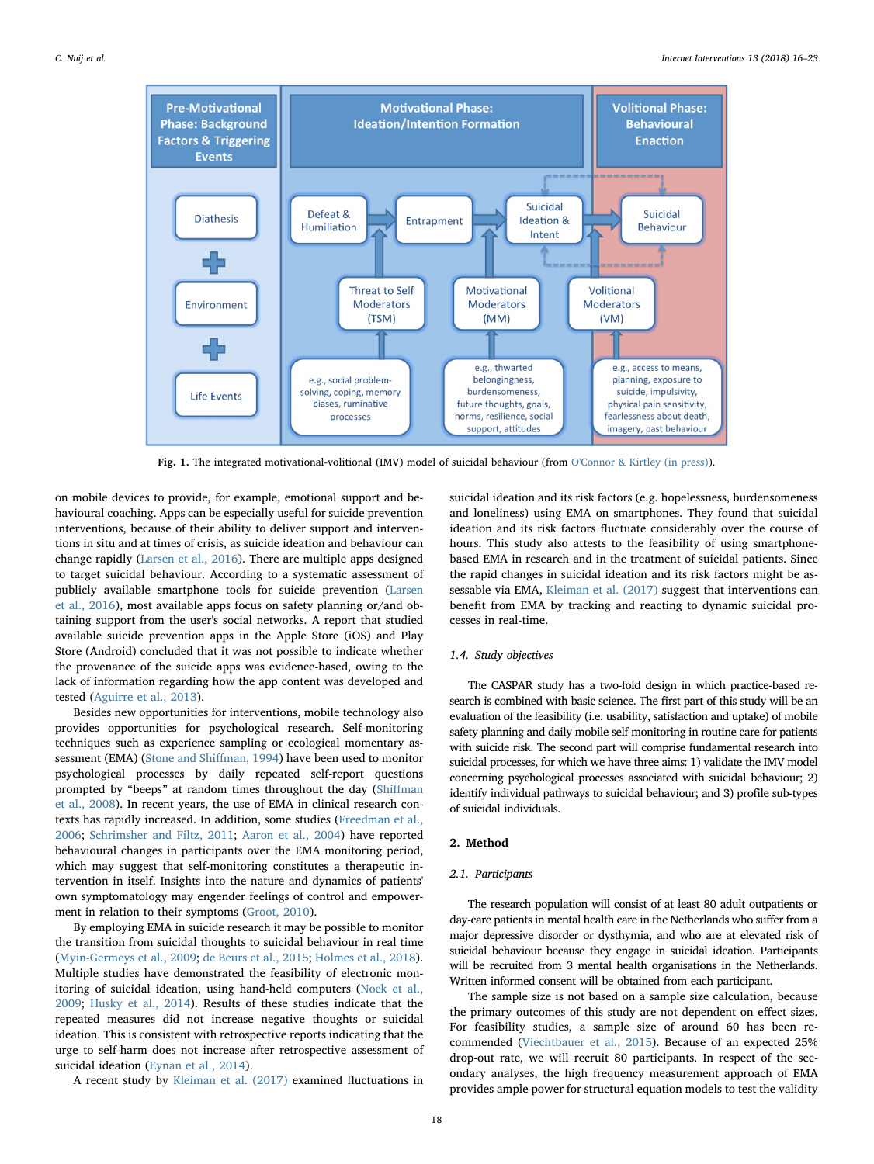<span id="page-2-0"></span>

Fig. 1. The integrated motivational-volitional (IMV) model of suicidal behaviour (from [O'Connor & Kirtley \(in press\)\)](#page-6-12).

on mobile devices to provide, for example, emotional support and behavioural coaching. Apps can be especially useful for suicide prevention interventions, because of their ability to deliver support and interventions in situ and at times of crisis, as suicide ideation and behaviour can change rapidly ([Larsen et al., 2016](#page-6-22)). There are multiple apps designed to target suicidal behaviour. According to a systematic assessment of publicly available smartphone tools for suicide prevention ([Larsen](#page-6-22) [et al., 2016\)](#page-6-22), most available apps focus on safety planning or/and obtaining support from the user's social networks. A report that studied available suicide prevention apps in the Apple Store (iOS) and Play Store (Android) concluded that it was not possible to indicate whether the provenance of the suicide apps was evidence-based, owing to the lack of information regarding how the app content was developed and tested [\(Aguirre et al., 2013](#page-6-23)).

Besides new opportunities for interventions, mobile technology also provides opportunities for psychological research. Self-monitoring techniques such as experience sampling or ecological momentary assessment (EMA) [\(Stone and Shi](#page-7-2)ffman, 1994) have been used to monitor psychological processes by daily repeated self-report questions prompted by "beeps" at random times throughout the day (Shiff[man](#page-6-24) [et al., 2008\)](#page-6-24). In recent years, the use of EMA in clinical research contexts has rapidly increased. In addition, some studies [\(Freedman et al.,](#page-6-25) [2006;](#page-6-25) [Schrimsher and Filtz, 2011;](#page-6-26) [Aaron et al., 2004](#page-6-27)) have reported behavioural changes in participants over the EMA monitoring period, which may suggest that self-monitoring constitutes a therapeutic intervention in itself. Insights into the nature and dynamics of patients' own symptomatology may engender feelings of control and empowerment in relation to their symptoms [\(Groot, 2010](#page-6-28)).

By employing EMA in suicide research it may be possible to monitor the transition from suicidal thoughts to suicidal behaviour in real time ([Myin-Germeys et al., 2009;](#page-6-29) [de Beurs et al., 2015;](#page-6-30) [Holmes et al., 2018](#page-6-31)). Multiple studies have demonstrated the feasibility of electronic monitoring of suicidal ideation, using hand-held computers ([Nock et al.,](#page-6-32) [2009;](#page-6-32) [Husky et al., 2014\)](#page-6-33). Results of these studies indicate that the repeated measures did not increase negative thoughts or suicidal ideation. This is consistent with retrospective reports indicating that the urge to self-harm does not increase after retrospective assessment of suicidal ideation ([Eynan et al., 2014](#page-6-34)).

A recent study by [Kleiman et al. \(2017\)](#page-6-35) examined fluctuations in

and loneliness) using EMA on smartphones. They found that suicidal ideation and its risk factors fluctuate considerably over the course of hours. This study also attests to the feasibility of using smartphonebased EMA in research and in the treatment of suicidal patients. Since the rapid changes in suicidal ideation and its risk factors might be assessable via EMA, [Kleiman et al. \(2017\)](#page-6-35) suggest that interventions can benefit from EMA by tracking and reacting to dynamic suicidal processes in real-time.

suicidal ideation and its risk factors (e.g. hopelessness, burdensomeness

# 1.4. Study objectives

The CASPAR study has a two-fold design in which practice-based research is combined with basic science. The first part of this study will be an evaluation of the feasibility (i.e. usability, satisfaction and uptake) of mobile safety planning and daily mobile self-monitoring in routine care for patients with suicide risk. The second part will comprise fundamental research into suicidal processes, for which we have three aims: 1) validate the IMV model concerning psychological processes associated with suicidal behaviour; 2) identify individual pathways to suicidal behaviour; and 3) profile sub-types of suicidal individuals.

# 2. Method

# 2.1. Participants

The research population will consist of at least 80 adult outpatients or day-care patients in mental health care in the Netherlands who suffer from a major depressive disorder or dysthymia, and who are at elevated risk of suicidal behaviour because they engage in suicidal ideation. Participants will be recruited from 3 mental health organisations in the Netherlands. Written informed consent will be obtained from each participant.

The sample size is not based on a sample size calculation, because the primary outcomes of this study are not dependent on effect sizes. For feasibility studies, a sample size of around 60 has been recommended ([Viechtbauer et al., 2015](#page-7-3)). Because of an expected 25% drop-out rate, we will recruit 80 participants. In respect of the secondary analyses, the high frequency measurement approach of EMA provides ample power for structural equation models to test the validity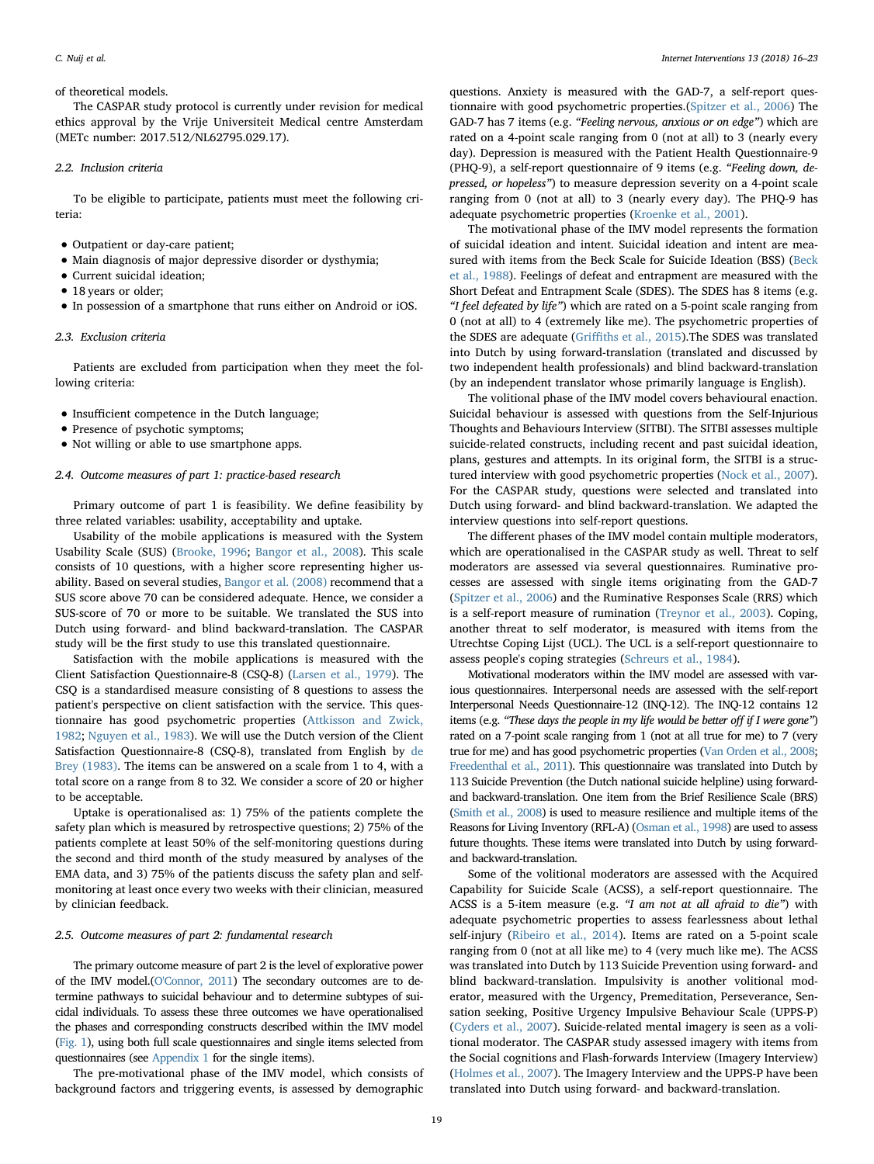#### of theoretical models.

The CASPAR study protocol is currently under revision for medical ethics approval by the Vrije Universiteit Medical centre Amsterdam (METc number: 2017.512/NL62795.029.17).

#### 2.2. Inclusion criteria

To be eligible to participate, patients must meet the following criteria:

- Outpatient or day-care patient;
- Main diagnosis of major depressive disorder or dysthymia;
- Current suicidal ideation;
- 18 years or older;
- In possession of a smartphone that runs either on Android or iOS.

# 2.3. Exclusion criteria

Patients are excluded from participation when they meet the following criteria:

- Insufficient competence in the Dutch language;
- Presence of psychotic symptoms;
- Not willing or able to use smartphone apps.

#### 2.4. Outcome measures of part 1: practice-based research

Primary outcome of part 1 is feasibility. We define feasibility by three related variables: usability, acceptability and uptake.

Usability of the mobile applications is measured with the System Usability Scale (SUS) [\(Brooke, 1996;](#page-6-36) [Bangor et al., 2008\)](#page-6-37). This scale consists of 10 questions, with a higher score representing higher usability. Based on several studies, [Bangor et al. \(2008\)](#page-6-37) recommend that a SUS score above 70 can be considered adequate. Hence, we consider a SUS-score of 70 or more to be suitable. We translated the SUS into Dutch using forward- and blind backward-translation. The CASPAR study will be the first study to use this translated questionnaire.

Satisfaction with the mobile applications is measured with the Client Satisfaction Questionnaire-8 (CSQ-8) [\(Larsen et al., 1979](#page-6-38)). The CSQ is a standardised measure consisting of 8 questions to assess the patient's perspective on client satisfaction with the service. This questionnaire has good psychometric properties [\(Attkisson and Zwick,](#page-6-39) [1982;](#page-6-39) [Nguyen et al., 1983](#page-6-40)). We will use the Dutch version of the Client Satisfaction Questionnaire-8 (CSQ-8), translated from English by [de](#page-6-41) [Brey \(1983\)](#page-6-41). The items can be answered on a scale from 1 to 4, with a total score on a range from 8 to 32. We consider a score of 20 or higher to be acceptable.

Uptake is operationalised as: 1) 75% of the patients complete the safety plan which is measured by retrospective questions; 2) 75% of the patients complete at least 50% of the self-monitoring questions during the second and third month of the study measured by analyses of the EMA data, and 3) 75% of the patients discuss the safety plan and selfmonitoring at least once every two weeks with their clinician, measured by clinician feedback.

#### <span id="page-3-0"></span>2.5. Outcome measures of part 2: fundamental research

The primary outcome measure of part 2 is the level of explorative power of the IMV model.[\(O'Connor, 2011\)](#page-6-5) The secondary outcomes are to determine pathways to suicidal behaviour and to determine subtypes of suicidal individuals. To assess these three outcomes we have operationalised the phases and corresponding constructs described within the IMV model [\(Fig. 1](#page-2-0)), using both full scale questionnaires and single items selected from questionnaires (see [Appendix 1](#page-5-0) for the single items).

The pre-motivational phase of the IMV model, which consists of background factors and triggering events, is assessed by demographic

questions. Anxiety is measured with the GAD-7, a self-report questionnaire with good psychometric properties.([Spitzer et al., 2006\)](#page-6-42) The GAD-7 has 7 items (e.g. "Feeling nervous, anxious or on edge") which are rated on a 4-point scale ranging from 0 (not at all) to 3 (nearly every day). Depression is measured with the Patient Health Questionnaire-9 (PHQ-9), a self-report questionnaire of 9 items (e.g. "Feeling down, depressed, or hopeless") to measure depression severity on a 4-point scale ranging from 0 (not at all) to 3 (nearly every day). The PHQ-9 has adequate psychometric properties [\(Kroenke et al., 2001\)](#page-6-43).

The motivational phase of the IMV model represents the formation of suicidal ideation and intent. Suicidal ideation and intent are measured with items from the Beck Scale for Suicide Ideation (BSS) ([Beck](#page-6-44) [et al., 1988\)](#page-6-44). Feelings of defeat and entrapment are measured with the Short Defeat and Entrapment Scale (SDES). The SDES has 8 items (e.g. "I feel defeated by life") which are rated on a 5-point scale ranging from 0 (not at all) to 4 (extremely like me). The psychometric properties of the SDES are adequate (Griffiths [et al., 2015\)](#page-6-45).The SDES was translated into Dutch by using forward-translation (translated and discussed by two independent health professionals) and blind backward-translation (by an independent translator whose primarily language is English).

The volitional phase of the IMV model covers behavioural enaction. Suicidal behaviour is assessed with questions from the Self-Injurious Thoughts and Behaviours Interview (SITBI). The SITBI assesses multiple suicide-related constructs, including recent and past suicidal ideation, plans, gestures and attempts. In its original form, the SITBI is a structured interview with good psychometric properties ([Nock et al., 2007](#page-6-46)). For the CASPAR study, questions were selected and translated into Dutch using forward- and blind backward-translation. We adapted the interview questions into self-report questions.

The different phases of the IMV model contain multiple moderators, which are operationalised in the CASPAR study as well. Threat to self moderators are assessed via several questionnaires. Ruminative processes are assessed with single items originating from the GAD-7 ([Spitzer et al., 2006\)](#page-6-42) and the Ruminative Responses Scale (RRS) which is a self-report measure of rumination ([Treynor et al., 2003](#page-7-4)). Coping, another threat to self moderator, is measured with items from the Utrechtse Coping Lijst (UCL). The UCL is a self-report questionnaire to assess people's coping strategies ([Schreurs et al., 1984\)](#page-6-47).

Motivational moderators within the IMV model are assessed with various questionnaires. Interpersonal needs are assessed with the self-report Interpersonal Needs Questionnaire-12 (INQ-12). The INQ-12 contains 12 items (e.g. "These days the people in my life would be better off if I were gone") rated on a 7-point scale ranging from 1 (not at all true for me) to 7 (very true for me) and has good psychometric properties [\(Van Orden et al., 2008](#page-7-5); [Freedenthal et al., 2011](#page-6-48)). This questionnaire was translated into Dutch by 113 Suicide Prevention (the Dutch national suicide helpline) using forwardand backward-translation. One item from the Brief Resilience Scale (BRS) [\(Smith et al., 2008](#page-6-49)) is used to measure resilience and multiple items of the Reasons for Living Inventory (RFL-A) ([Osman et al., 1998\)](#page-6-50) are used to assess future thoughts. These items were translated into Dutch by using forwardand backward-translation.

Some of the volitional moderators are assessed with the Acquired Capability for Suicide Scale (ACSS), a self-report questionnaire. The ACSS is a 5-item measure (e.g. "I am not at all afraid to die") with adequate psychometric properties to assess fearlessness about lethal self-injury [\(Ribeiro et al., 2014\)](#page-6-51). Items are rated on a 5-point scale ranging from 0 (not at all like me) to 4 (very much like me). The ACSS was translated into Dutch by 113 Suicide Prevention using forward- and blind backward-translation. Impulsivity is another volitional moderator, measured with the Urgency, Premeditation, Perseverance, Sensation seeking, Positive Urgency Impulsive Behaviour Scale (UPPS-P) ([Cyders et al., 2007](#page-6-52)). Suicide-related mental imagery is seen as a volitional moderator. The CASPAR study assessed imagery with items from the Social cognitions and Flash-forwards Interview (Imagery Interview) ([Holmes et al., 2007](#page-6-53)). The Imagery Interview and the UPPS-P have been translated into Dutch using forward- and backward-translation.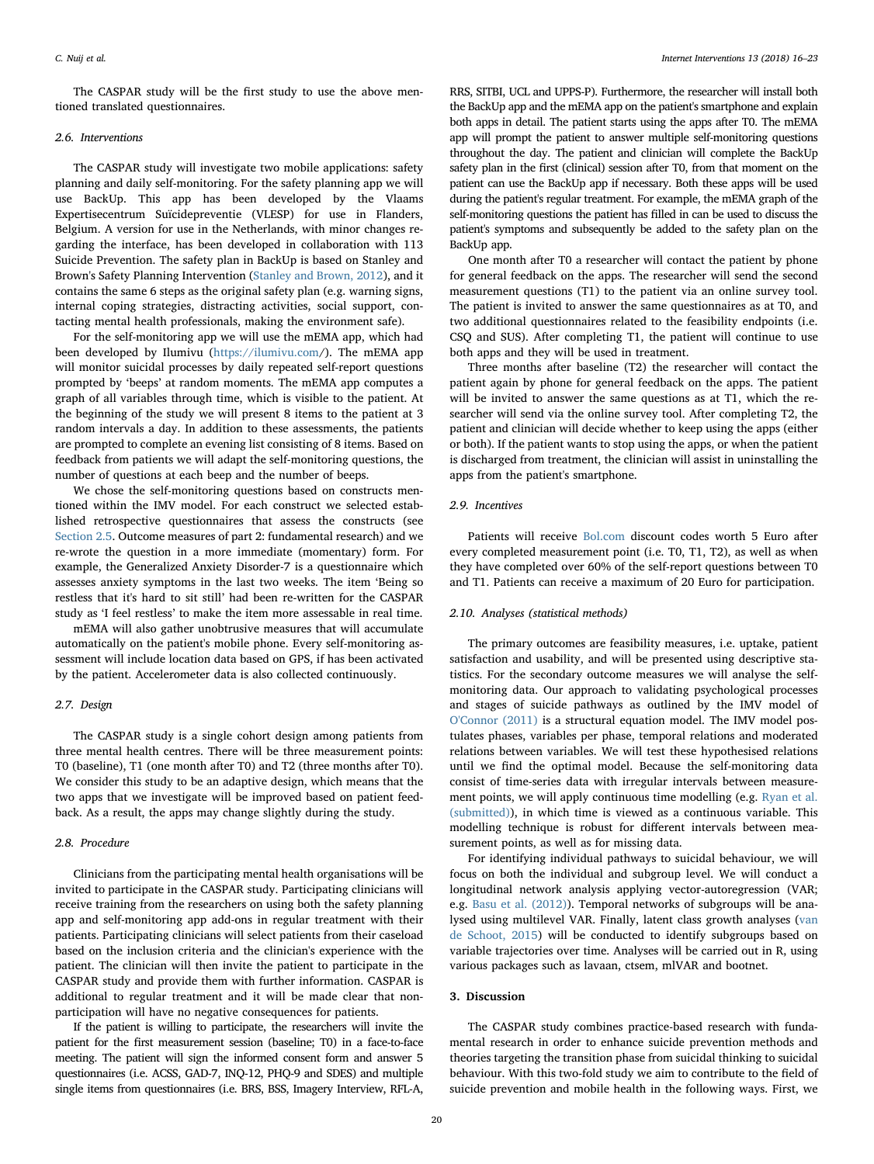The CASPAR study will be the first study to use the above mentioned translated questionnaires.

# 2.6. Interventions

The CASPAR study will investigate two mobile applications: safety planning and daily self-monitoring. For the safety planning app we will use BackUp. This app has been developed by the Vlaams Expertisecentrum Suïcidepreventie (VLESP) for use in Flanders, Belgium. A version for use in the Netherlands, with minor changes regarding the interface, has been developed in collaboration with 113 Suicide Prevention. The safety plan in BackUp is based on Stanley and Brown's Safety Planning Intervention ([Stanley and Brown, 2012](#page-6-14)), and it contains the same 6 steps as the original safety plan (e.g. warning signs, internal coping strategies, distracting activities, social support, contacting mental health professionals, making the environment safe).

For the self-monitoring app we will use the mEMA app, which had been developed by Ilumivu ([https://ilumivu.com/](https://ilumivu.com)). The mEMA app will monitor suicidal processes by daily repeated self-report questions prompted by 'beeps' at random moments. The mEMA app computes a graph of all variables through time, which is visible to the patient. At the beginning of the study we will present 8 items to the patient at 3 random intervals a day. In addition to these assessments, the patients are prompted to complete an evening list consisting of 8 items. Based on feedback from patients we will adapt the self-monitoring questions, the number of questions at each beep and the number of beeps.

We chose the self-monitoring questions based on constructs mentioned within the IMV model. For each construct we selected established retrospective questionnaires that assess the constructs (see [Section 2.5](#page-3-0). Outcome measures of part 2: fundamental research) and we re-wrote the question in a more immediate (momentary) form. For example, the Generalized Anxiety Disorder-7 is a questionnaire which assesses anxiety symptoms in the last two weeks. The item 'Being so restless that it's hard to sit still' had been re-written for the CASPAR study as 'I feel restless' to make the item more assessable in real time.

mEMA will also gather unobtrusive measures that will accumulate automatically on the patient's mobile phone. Every self-monitoring assessment will include location data based on GPS, if has been activated by the patient. Accelerometer data is also collected continuously.

#### 2.7. Design

The CASPAR study is a single cohort design among patients from three mental health centres. There will be three measurement points: T0 (baseline), T1 (one month after T0) and T2 (three months after T0). We consider this study to be an adaptive design, which means that the two apps that we investigate will be improved based on patient feedback. As a result, the apps may change slightly during the study.

#### 2.8. Procedure

Clinicians from the participating mental health organisations will be invited to participate in the CASPAR study. Participating clinicians will receive training from the researchers on using both the safety planning app and self-monitoring app add-ons in regular treatment with their patients. Participating clinicians will select patients from their caseload based on the inclusion criteria and the clinician's experience with the patient. The clinician will then invite the patient to participate in the CASPAR study and provide them with further information. CASPAR is additional to regular treatment and it will be made clear that nonparticipation will have no negative consequences for patients.

If the patient is willing to participate, the researchers will invite the patient for the first measurement session (baseline; T0) in a face-to-face meeting. The patient will sign the informed consent form and answer 5 questionnaires (i.e. ACSS, GAD-7, INQ-12, PHQ-9 and SDES) and multiple single items from questionnaires (i.e. BRS, BSS, Imagery Interview, RFL-A,

RRS, SITBI, UCL and UPPS-P). Furthermore, the researcher will install both the BackUp app and the mEMA app on the patient's smartphone and explain both apps in detail. The patient starts using the apps after T0. The mEMA app will prompt the patient to answer multiple self-monitoring questions throughout the day. The patient and clinician will complete the BackUp safety plan in the first (clinical) session after T0, from that moment on the patient can use the BackUp app if necessary. Both these apps will be used during the patient's regular treatment. For example, the mEMA graph of the self-monitoring questions the patient has filled in can be used to discuss the patient's symptoms and subsequently be added to the safety plan on the BackUp app.

One month after T0 a researcher will contact the patient by phone for general feedback on the apps. The researcher will send the second measurement questions (T1) to the patient via an online survey tool. The patient is invited to answer the same questionnaires as at T0, and two additional questionnaires related to the feasibility endpoints (i.e. CSQ and SUS). After completing T1, the patient will continue to use both apps and they will be used in treatment.

Three months after baseline (T2) the researcher will contact the patient again by phone for general feedback on the apps. The patient will be invited to answer the same questions as at T1, which the researcher will send via the online survey tool. After completing T2, the patient and clinician will decide whether to keep using the apps (either or both). If the patient wants to stop using the apps, or when the patient is discharged from treatment, the clinician will assist in uninstalling the apps from the patient's smartphone.

## 2.9. Incentives

Patients will receive [Bol.com](http://Bol.com) discount codes worth 5 Euro after every completed measurement point (i.e. T0, T1, T2), as well as when they have completed over 60% of the self-report questions between T0 and T1. Patients can receive a maximum of 20 Euro for participation.

#### 2.10. Analyses (statistical methods)

The primary outcomes are feasibility measures, i.e. uptake, patient satisfaction and usability, and will be presented using descriptive statistics. For the secondary outcome measures we will analyse the selfmonitoring data. Our approach to validating psychological processes and stages of suicide pathways as outlined by the IMV model of [O'Connor \(2011\)](#page-6-5) is a structural equation model. The IMV model postulates phases, variables per phase, temporal relations and moderated relations between variables. We will test these hypothesised relations until we find the optimal model. Because the self-monitoring data consist of time-series data with irregular intervals between measurement points, we will apply continuous time modelling (e.g. [Ryan et al.](#page-6-54) [\(submitted\)\)](#page-6-54), in which time is viewed as a continuous variable. This modelling technique is robust for different intervals between measurement points, as well as for missing data.

For identifying individual pathways to suicidal behaviour, we will focus on both the individual and subgroup level. We will conduct a longitudinal network analysis applying vector-autoregression (VAR; e.g. [Basu et al. \(2012\)](#page-6-55)). Temporal networks of subgroups will be analysed using multilevel VAR. Finally, latent class growth analyses ([van](#page-6-56) [de Schoot, 2015\)](#page-6-56) will be conducted to identify subgroups based on variable trajectories over time. Analyses will be carried out in R, using various packages such as lavaan, ctsem, mlVAR and bootnet.

#### 3. Discussion

The CASPAR study combines practice-based research with fundamental research in order to enhance suicide prevention methods and theories targeting the transition phase from suicidal thinking to suicidal behaviour. With this two-fold study we aim to contribute to the field of suicide prevention and mobile health in the following ways. First, we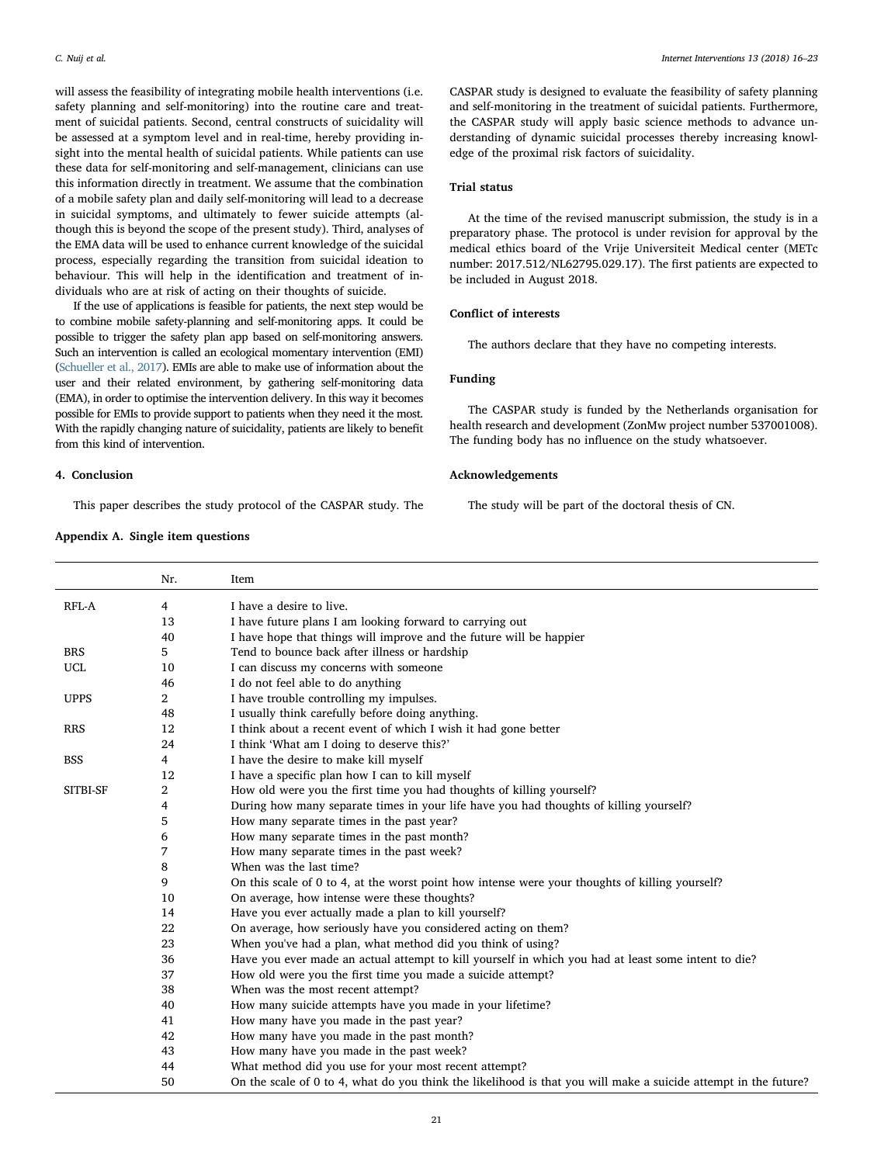will assess the feasibility of integrating mobile health interventions (i.e. safety planning and self-monitoring) into the routine care and treatment of suicidal patients. Second, central constructs of suicidality will be assessed at a symptom level and in real-time, hereby providing insight into the mental health of suicidal patients. While patients can use these data for self-monitoring and self-management, clinicians can use this information directly in treatment. We assume that the combination of a mobile safety plan and daily self-monitoring will lead to a decrease in suicidal symptoms, and ultimately to fewer suicide attempts (although this is beyond the scope of the present study). Third, analyses of the EMA data will be used to enhance current knowledge of the suicidal process, especially regarding the transition from suicidal ideation to behaviour. This will help in the identification and treatment of individuals who are at risk of acting on their thoughts of suicide.

If the use of applications is feasible for patients, the next step would be to combine mobile safety-planning and self-monitoring apps. It could be possible to trigger the safety plan app based on self-monitoring answers. Such an intervention is called an ecological momentary intervention (EMI) [\(Schueller et al., 2017\)](#page-6-57). EMIs are able to make use of information about the user and their related environment, by gathering self-monitoring data (EMA), in order to optimise the intervention delivery. In this way it becomes possible for EMIs to provide support to patients when they need it the most. With the rapidly changing nature of suicidality, patients are likely to benefit from this kind of intervention.

# 4. Conclusion

This paper describes the study protocol of the CASPAR study. The

# <span id="page-5-0"></span>Appendix A. Single item questions

CASPAR study is designed to evaluate the feasibility of safety planning and self-monitoring in the treatment of suicidal patients. Furthermore, the CASPAR study will apply basic science methods to advance understanding of dynamic suicidal processes thereby increasing knowledge of the proximal risk factors of suicidality.

# Trial status

At the time of the revised manuscript submission, the study is in a preparatory phase. The protocol is under revision for approval by the medical ethics board of the Vrije Universiteit Medical center (METc number: 2017.512/NL62795.029.17). The first patients are expected to be included in August 2018.

# Conflict of interests

The authors declare that they have no competing interests.

# Funding

The CASPAR study is funded by the Netherlands organisation for health research and development (ZonMw project number 537001008). The funding body has no influence on the study whatsoever.

#### Acknowledgements

The study will be part of the doctoral thesis of CN.

|             | Nr.            | Item                                                                                                            |
|-------------|----------------|-----------------------------------------------------------------------------------------------------------------|
| RFL-A       | 4              | I have a desire to live.                                                                                        |
|             | 13             | I have future plans I am looking forward to carrying out                                                        |
|             | 40             | I have hope that things will improve and the future will be happier                                             |
| <b>BRS</b>  | 5              | Tend to bounce back after illness or hardship                                                                   |
| UCL         | 10             | I can discuss my concerns with someone                                                                          |
|             | 46             | I do not feel able to do anything                                                                               |
| <b>UPPS</b> | $\overline{2}$ | I have trouble controlling my impulses.                                                                         |
|             | 48             | I usually think carefully before doing anything.                                                                |
| <b>RRS</b>  | 12             | I think about a recent event of which I wish it had gone better                                                 |
|             | 24             | I think 'What am I doing to deserve this?'                                                                      |
| <b>BSS</b>  | 4              | I have the desire to make kill myself                                                                           |
|             | 12             | I have a specific plan how I can to kill myself                                                                 |
| SITBI-SF    | 2              | How old were you the first time you had thoughts of killing yourself?                                           |
|             | 4              | During how many separate times in your life have you had thoughts of killing yourself?                          |
|             | 5              | How many separate times in the past year?                                                                       |
|             | 6              | How many separate times in the past month?                                                                      |
|             | 7              | How many separate times in the past week?                                                                       |
|             | 8              | When was the last time?                                                                                         |
|             | 9              | On this scale of 0 to 4, at the worst point how intense were your thoughts of killing yourself?                 |
|             | 10             | On average, how intense were these thoughts?                                                                    |
|             | 14             | Have you ever actually made a plan to kill yourself?                                                            |
|             | 22             | On average, how seriously have you considered acting on them?                                                   |
|             | 23             | When you've had a plan, what method did you think of using?                                                     |
|             | 36             | Have you ever made an actual attempt to kill yourself in which you had at least some intent to die?             |
|             | 37             | How old were you the first time you made a suicide attempt?                                                     |
|             | 38             | When was the most recent attempt?                                                                               |
|             | 40             | How many suicide attempts have you made in your lifetime?                                                       |
|             | 41             | How many have you made in the past year?                                                                        |
|             | 42             | How many have you made in the past month?                                                                       |
|             | 43             | How many have you made in the past week?                                                                        |
|             | 44             | What method did you use for your most recent attempt?                                                           |
|             | 50             | On the scale of 0 to 4, what do you think the likelihood is that you will make a suicide attempt in the future? |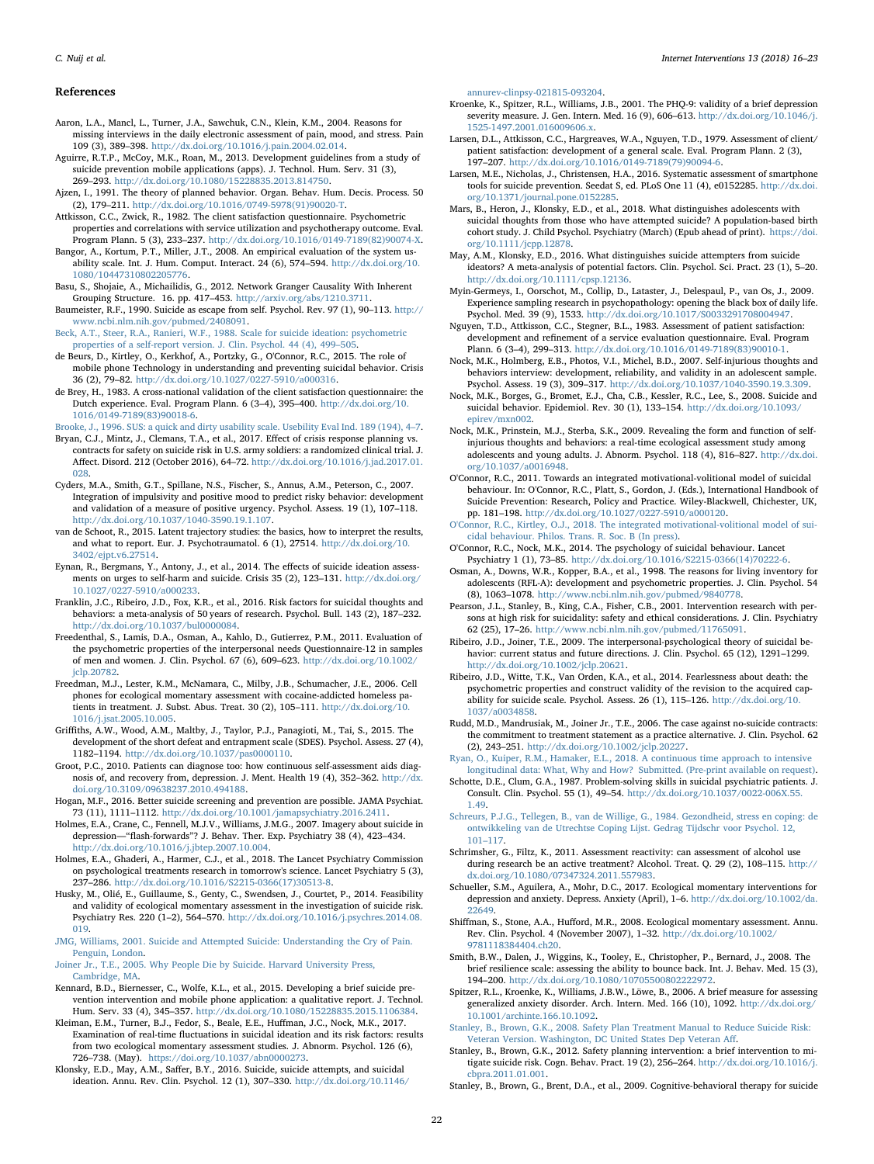#### References

- <span id="page-6-27"></span>Aaron, L.A., Mancl, L., Turner, J.A., Sawchuk, C.N., Klein, K.M., 2004. Reasons for missing interviews in the daily electronic assessment of pain, mood, and stress. Pain 109 (3), 389–398. [http://dx.doi.org/10.1016/j.pain.2004.02.014.](http://dx.doi.org/10.1016/j.pain.2004.02.014)
- <span id="page-6-23"></span>Aguirre, R.T.P., McCoy, M.K., Roan, M., 2013. Development guidelines from a study of suicide prevention mobile applications (apps). J. Technol. Hum. Serv. 31 (3), 269–293. <http://dx.doi.org/10.1080/15228835.2013.814750>.
- <span id="page-6-7"></span>Ajzen, I., 1991. The theory of planned behavior. Organ. Behav. Hum. Decis. Process. 50 (2), 179–211. [http://dx.doi.org/10.1016/0749-5978\(91\)90020-T.](http://dx.doi.org/10.1016/0749-5978(91)90020-T)
- <span id="page-6-39"></span>Attkisson, C.C., Zwick, R., 1982. The client satisfaction questionnaire. Psychometric properties and correlations with service utilization and psychotherapy outcome. Eval.
- <span id="page-6-37"></span>Program Plann. 5 (3), 233–237. [http://dx.doi.org/10.1016/0149-7189\(82\)90074-X.](http://dx.doi.org/10.1016/0149-7189(82)90074-X) Bangor, A., Kortum, P.T., Miller, J.T., 2008. An empirical evaluation of the system us-
- ability scale. Int. J. Hum. Comput. Interact. 24 (6), 574–594. [http://dx.doi.org/10.](http://dx.doi.org/10.1080/10447310802205776) [1080/10447310802205776](http://dx.doi.org/10.1080/10447310802205776). Basu, S., Shojaie, A., Michailidis, G., 2012. Network Granger Causality With Inherent
- <span id="page-6-55"></span><span id="page-6-9"></span>Grouping Structure. 16. pp. 417–453. [http://arxiv.org/abs/1210.3711.](http://arxiv.org/abs/1210.3711) Baumeister, R.F., 1990. Suicide as escape from self. Psychol. Rev. 97 (1), 90–113. [http://](http://www.ncbi.nlm.nih.gov/pubmed/2408091)
- <span id="page-6-44"></span>[www.ncbi.nlm.nih.gov/pubmed/2408091](http://www.ncbi.nlm.nih.gov/pubmed/2408091). [Beck, A.T., Steer, R.A., Ranieri, W.F., 1988. Scale for suicide ideation: psychometric](http://refhub.elsevier.com/S2214-7829(17)30134-3/rf0040) [properties of a self-report version. J. Clin. Psychol. 44 \(4\), 499](http://refhub.elsevier.com/S2214-7829(17)30134-3/rf0040)–505.
- <span id="page-6-30"></span>de Beurs, D., Kirtley, O., Kerkhof, A., Portzky, G., O'Connor, R.C., 2015. The role of mobile phone Technology in understanding and preventing suicidal behavior. Crisis 36 (2), 79–82. <http://dx.doi.org/10.1027/0227-5910/a000316>.
- <span id="page-6-41"></span>de Brey, H., 1983. A cross-national validation of the client satisfaction questionnaire: the Dutch experience. Eval. Program Plann. 6 (3–4), 395–400. [http://dx.doi.org/10.](http://dx.doi.org/10.1016/0149-7189(83)90018-6) [1016/0149-7189\(83\)90018-6](http://dx.doi.org/10.1016/0149-7189(83)90018-6).

<span id="page-6-36"></span>[Brooke, J., 1996. SUS: a quick and dirty usability scale. Usebility Eval Ind. 189 \(194\), 4](http://refhub.elsevier.com/S2214-7829(17)30134-3/rf0055)–7.

- <span id="page-6-18"></span>Bryan, C.J., Mintz, J., Clemans, T.A., et al., 2017. Effect of crisis response planning vs. contracts for safety on suicide risk in U.S. army soldiers: a randomized clinical trial. J. Affect. Disord. 212 (October 2016), 64–72. [http://dx.doi.org/10.1016/j.jad.2017.01.](http://dx.doi.org/10.1016/j.jad.2017.01.028) [028](http://dx.doi.org/10.1016/j.jad.2017.01.028).
- <span id="page-6-52"></span>Cyders, M.A., Smith, G.T., Spillane, N.S., Fischer, S., Annus, A.M., Peterson, C., 2007. Integration of impulsivity and positive mood to predict risky behavior: development and validation of a measure of positive urgency. Psychol. Assess. 19 (1), 107–118. <http://dx.doi.org/10.1037/1040-3590.19.1.107>.
- <span id="page-6-56"></span>van de Schoot, R., 2015. Latent trajectory studies: the basics, how to interpret the results, and what to report. Eur. J. Psychotraumatol. 6 (1), 27514. [http://dx.doi.org/10.](http://dx.doi.org/10.3402/ejpt.v6.27514) [3402/ejpt.v6.27514](http://dx.doi.org/10.3402/ejpt.v6.27514).
- <span id="page-6-34"></span>Eynan, R., Bergmans, Y., Antony, J., et al., 2014. The effects of suicide ideation assessments on urges to self-harm and suicide. Crisis 35 (2), 123–131. [http://dx.doi.org/](http://dx.doi.org/10.1027/0227-5910/a000233) [10.1027/0227-5910/a000233.](http://dx.doi.org/10.1027/0227-5910/a000233)
- <span id="page-6-1"></span>Franklin, J.C., Ribeiro, J.D., Fox, K.R., et al., 2016. Risk factors for suicidal thoughts and behaviors: a meta-analysis of 50 years of research. Psychol. Bull. 143 (2), 187–232. [http://dx.doi.org/10.1037/bul0000084.](http://dx.doi.org/10.1037/bul0000084)
- <span id="page-6-48"></span>Freedenthal, S., Lamis, D.A., Osman, A., Kahlo, D., Gutierrez, P.M., 2011. Evaluation of the psychometric properties of the interpersonal needs Questionnaire-12 in samples of men and women. J. Clin. Psychol. 67 (6), 609–623. [http://dx.doi.org/10.1002/](http://dx.doi.org/10.1002/jclp.20782) [jclp.20782.](http://dx.doi.org/10.1002/jclp.20782)
- <span id="page-6-25"></span>Freedman, M.J., Lester, K.M., McNamara, C., Milby, J.B., Schumacher, J.E., 2006. Cell phones for ecological momentary assessment with cocaine-addicted homeless patients in treatment. J. Subst. Abus. Treat. 30 (2), 105–111. [http://dx.doi.org/10.](http://dx.doi.org/10.1016/j.jsat.2005.10.005) [1016/j.jsat.2005.10.005](http://dx.doi.org/10.1016/j.jsat.2005.10.005).
- <span id="page-6-45"></span>Griffiths, A.W., Wood, A.M., Maltby, J., Taylor, P.J., Panagioti, M., Tai, S., 2015. The development of the short defeat and entrapment scale (SDES). Psychol. Assess. 27 (4), 1182–1194. [http://dx.doi.org/10.1037/pas0000110.](http://dx.doi.org/10.1037/pas0000110)
- <span id="page-6-28"></span>Groot, P.C., 2010. Patients can diagnose too: how continuous self-assessment aids diagnosis of, and recovery from, depression. J. Ment. Health 19 (4), 352–362. [http://dx.](http://dx.doi.org/10.3109/09638237.2010.494188) [doi.org/10.3109/09638237.2010.494188](http://dx.doi.org/10.3109/09638237.2010.494188).
- <span id="page-6-19"></span>Hogan, M.F., 2016. Better suicide screening and prevention are possible. JAMA Psychiat. 73 (11), 1111–1112. [http://dx.doi.org/10.1001/jamapsychiatry.2016.2411.](http://dx.doi.org/10.1001/jamapsychiatry.2016.2411)
- <span id="page-6-53"></span>Holmes, E.A., Crane, C., Fennell, M.J.V., Williams, J.M.G., 2007. Imagery about suicide in depression—"flash-forwards"? J. Behav. Ther. Exp. Psychiatry 38 (4), 423–434. <http://dx.doi.org/10.1016/j.jbtep.2007.10.004>.
- <span id="page-6-31"></span>Holmes, E.A., Ghaderi, A., Harmer, C.J., et al., 2018. The Lancet Psychiatry Commission on psychological treatments research in tomorrow's science. Lancet Psychiatry 5 (3), 237–286. [http://dx.doi.org/10.1016/S2215-0366\(17\)30513-8.](http://dx.doi.org/10.1016/S2215-0366(17)30513-8)
- <span id="page-6-33"></span>Husky, M., Olié, E., Guillaume, S., Genty, C., Swendsen, J., Courtet, P., 2014. Feasibility and validity of ecological momentary assessment in the investigation of suicide risk. Psychiatry Res. 220 (1–2), 564–570. [http://dx.doi.org/10.1016/j.psychres.2014.08.](http://dx.doi.org/10.1016/j.psychres.2014.08.019) [019](http://dx.doi.org/10.1016/j.psychres.2014.08.019).
- <span id="page-6-10"></span>[JMG, Williams, 2001. Suicide and Attempted Suicide: Understanding the Cry of Pain.](http://refhub.elsevier.com/S2214-7829(17)30134-3/rf0125) [Penguin, London.](http://refhub.elsevier.com/S2214-7829(17)30134-3/rf0125)

<span id="page-6-11"></span>[Joiner Jr., T.E., 2005. Why People Die by Suicide. Harvard University Press,](http://refhub.elsevier.com/S2214-7829(17)30134-3/rf0130) [Cambridge, MA](http://refhub.elsevier.com/S2214-7829(17)30134-3/rf0130).

- <span id="page-6-21"></span>Kennard, B.D., Biernesser, C., Wolfe, K.L., et al., 2015. Developing a brief suicide prevention intervention and mobile phone application: a qualitative report. J. Technol. Hum. Serv. 33 (4), 345–357. <http://dx.doi.org/10.1080/15228835.2015.1106384>.
- <span id="page-6-35"></span>Kleiman, E.M., Turner, B.J., Fedor, S., Beale, E.E., Huffman, J.C., Nock, M.K., 2017. Examination of real-time fluctuations in suicidal ideation and its risk factors: results from two ecological momentary assessment studies. J. Abnorm. Psychol. 126 (6), 726–738. (May). [https://doi.org/10.1037/abn0000273.](https://doi.org/10.1037/abn0000273)
- <span id="page-6-6"></span>Klonsky, E.D., May, A.M., Saffer, B.Y., 2016. Suicide, suicide attempts, and suicidal ideation. Annu. Rev. Clin. Psychol. 12 (1), 307–330. [http://dx.doi.org/10.1146/](http://dx.doi.org/10.1146/annurev-clinpsy-021815-093204)

#### [annurev-clinpsy-021815-093204.](http://dx.doi.org/10.1146/annurev-clinpsy-021815-093204)

- <span id="page-6-43"></span>Kroenke, K., Spitzer, R.L., Williams, J.B., 2001. The PHQ-9: validity of a brief depression severity measure. J. Gen. Intern. Med. 16 (9), 606–613. [http://dx.doi.org/10.1046/j.](http://dx.doi.org/10.1046/j.1525-1497.2001.016009606.x) [1525-1497.2001.016009606.x.](http://dx.doi.org/10.1046/j.1525-1497.2001.016009606.x)
- <span id="page-6-38"></span>Larsen, D.L., Attkisson, C.C., Hargreaves, W.A., Nguyen, T.D., 1979. Assessment of client/ patient satisfaction: development of a general scale. Eval. Program Plann. 2 (3), 197–207. [http://dx.doi.org/10.1016/0149-7189\(79\)90094-6](http://dx.doi.org/10.1016/0149-7189(79)90094-6).
- <span id="page-6-22"></span>Larsen, M.E., Nicholas, J., Christensen, H.A., 2016. Systematic assessment of smartphone tools for suicide prevention. Seedat S, ed. PLoS One 11 (4), e0152285. [http://dx.doi.](http://dx.doi.org/10.1371/journal.pone.0152285) [org/10.1371/journal.pone.0152285](http://dx.doi.org/10.1371/journal.pone.0152285).
- <span id="page-6-13"></span>Mars, B., Heron, J., Klonsky, E.D., et al., 2018. What distinguishes adolescents with suicidal thoughts from those who have attempted suicide? A population-based birth cohort study. J. Child Psychol. Psychiatry (March) (Epub ahead of print). [https://doi.](https://doi.org/10.1111/jcpp.12878) [org/10.1111/jcpp.12878](https://doi.org/10.1111/jcpp.12878).
- <span id="page-6-4"></span>May, A.M., Klonsky, E.D., 2016. What distinguishes suicide attempters from suicide ideators? A meta-analysis of potential factors. Clin. Psychol. Sci. Pract. 23 (1), 5–20. [http://dx.doi.org/10.1111/cpsp.12136.](http://dx.doi.org/10.1111/cpsp.12136)
- <span id="page-6-29"></span>Myin-Germeys, I., Oorschot, M., Collip, D., Lataster, J., Delespaul, P., van Os, J., 2009. Experience sampling research in psychopathology: opening the black box of daily life. Psychol. Med. 39 (9), 1533. [http://dx.doi.org/10.1017/S0033291708004947.](http://dx.doi.org/10.1017/S0033291708004947)
- <span id="page-6-40"></span>Nguyen, T.D., Attkisson, C.C., Stegner, B.L., 1983. Assessment of patient satisfaction: development and refinement of a service evaluation questionnaire. Eval. Program Plann. 6 (3–4), 299–313. [http://dx.doi.org/10.1016/0149-7189\(83\)90010-1](http://dx.doi.org/10.1016/0149-7189(83)90010-1).
- <span id="page-6-46"></span>Nock, M.K., Holmberg, E.B., Photos, V.I., Michel, B.D., 2007. Self-injurious thoughts and behaviors interview: development, reliability, and validity in an adolescent sample. Psychol. Assess. 19 (3), 309–317. <http://dx.doi.org/10.1037/1040-3590.19.3.309>.
- <span id="page-6-0"></span>Nock, M.K., Borges, G., Bromet, E.J., Cha, C.B., Kessler, R.C., Lee, S., 2008. Suicide and suicidal behavior. Epidemiol. Rev. 30 (1), 133–154. [http://dx.doi.org/10.1093/](http://dx.doi.org/10.1093/epirev/mxn002) [epirev/mxn002](http://dx.doi.org/10.1093/epirev/mxn002).
- <span id="page-6-32"></span>Nock, M.K., Prinstein, M.J., Sterba, S.K., 2009. Revealing the form and function of selfinjurious thoughts and behaviors: a real-time ecological assessment study among adolescents and young adults. J. Abnorm. Psychol. 118 (4), 816–827. [http://dx.doi.](http://dx.doi.org/10.1037/a0016948) [org/10.1037/a0016948.](http://dx.doi.org/10.1037/a0016948)
- <span id="page-6-5"></span>O'Connor, R.C., 2011. Towards an integrated motivational-volitional model of suicidal behaviour. In: O'Connor, R.C., Platt, S., Gordon, J. (Eds.), International Handbook of Suicide Prevention: Research, Policy and Practice. Wiley-Blackwell, Chichester, UK, pp. 181–198. [http://dx.doi.org/10.1027/0227-5910/a000120.](http://dx.doi.org/10.1027/0227-5910/a000120)
- <span id="page-6-12"></span>[O'Connor, R.C., Kirtley, O.J., 2018. The integrated motivational-volitional model of sui](http://refhub.elsevier.com/S2214-7829(17)30134-3/rf0205)[cidal behaviour. Philos. Trans. R. Soc. B \(In press\).](http://refhub.elsevier.com/S2214-7829(17)30134-3/rf0205)
- <span id="page-6-2"></span>O'Connor, R.C., Nock, M.K., 2014. The psychology of suicidal behaviour. Lancet Psychiatry 1 (1), 73–85. [http://dx.doi.org/10.1016/S2215-0366\(14\)70222-6](http://dx.doi.org/10.1016/S2215-0366(14)70222-6).
- <span id="page-6-50"></span>Osman, A., Downs, W.R., Kopper, B.A., et al., 1998. The reasons for living inventory for adolescents (RFL-A): development and psychometric properties. J. Clin. Psychol. 54 (8), 1063–1078. <http://www.ncbi.nlm.nih.gov/pubmed/9840778>.
- <span id="page-6-17"></span>Pearson, J.L., Stanley, B., King, C.A., Fisher, C.B., 2001. Intervention research with persons at high risk for suicidality: safety and ethical considerations. J. Clin. Psychiatry 62 (25), 17–26. <http://www.ncbi.nlm.nih.gov/pubmed/11765091>.
- <span id="page-6-3"></span>Ribeiro, J.D., Joiner, T.E., 2009. The interpersonal-psychological theory of suicidal behavior: current status and future directions. J. Clin. Psychol. 65 (12), 1291–1299. <http://dx.doi.org/10.1002/jclp.20621>.
- <span id="page-6-51"></span>Ribeiro, J.D., Witte, T.K., Van Orden, K.A., et al., 2014. Fearlessness about death: the psychometric properties and construct validity of the revision to the acquired capability for suicide scale. Psychol. Assess. 26 (1), 115–126. [http://dx.doi.org/10.](http://dx.doi.org/10.1037/a0034858) [1037/a0034858](http://dx.doi.org/10.1037/a0034858).
- <span id="page-6-16"></span>Rudd, M.D., Mandrusiak, M., Joiner Jr., T.E., 2006. The case against no-suicide contracts: the commitment to treatment statement as a practice alternative. J. Clin. Psychol. 62 (2), 243–251. <http://dx.doi.org/10.1002/jclp.20227>.

<span id="page-6-54"></span>[Ryan, O., Kuiper, R.M., Hamaker, E.L., 2018. A continuous time approach to intensive](http://refhub.elsevier.com/S2214-7829(17)30134-3/rf0240) [longitudinal data: What, Why and How? Submitted. \(Pre-print available on request\).](http://refhub.elsevier.com/S2214-7829(17)30134-3/rf0240)

- <span id="page-6-8"></span>Schotte, D.E., Clum, G.A., 1987. Problem-solving skills in suicidal psychiatric patients. J. Consult. Clin. Psychol. 55 (1), 49–54. [http://dx.doi.org/10.1037/0022-006X.55.](http://dx.doi.org/10.1037/0022-006X.55.1.49) [1.49](http://dx.doi.org/10.1037/0022-006X.55.1.49).
- <span id="page-6-47"></span>[Schreurs, P.J.G., Tellegen, B., van de Willige, G., 1984. Gezondheid, stress en coping: de](http://refhub.elsevier.com/S2214-7829(17)30134-3/rf0250) [ontwikkeling van de Utrechtse Coping Lijst. Gedrag Tijdschr voor Psychol. 12,](http://refhub.elsevier.com/S2214-7829(17)30134-3/rf0250) 101–[117](http://refhub.elsevier.com/S2214-7829(17)30134-3/rf0250).
- <span id="page-6-26"></span>Schrimsher, G., Filtz, K., 2011. Assessment reactivity: can assessment of alcohol use during research be an active treatment? Alcohol. Treat. Q. 29 (2), 108–115. [http://](http://dx.doi.org/10.1080/07347324.2011.557983) [dx.doi.org/10.1080/07347324.2011.557983](http://dx.doi.org/10.1080/07347324.2011.557983).
- <span id="page-6-57"></span>Schueller, S.M., Aguilera, A., Mohr, D.C., 2017. Ecological momentary interventions for depression and anxiety. Depress. Anxiety (April), 1–6. [http://dx.doi.org/10.1002/da.](http://dx.doi.org/10.1002/da.22649) [22649.](http://dx.doi.org/10.1002/da.22649)
- <span id="page-6-24"></span>Shiffman, S., Stone, A.A., Hufford, M.R., 2008. Ecological momentary assessment. Annu. Rev. Clin. Psychol. 4 (November 2007), 1–32. [http://dx.doi.org/10.1002/](http://dx.doi.org/10.1002/9781118384404.ch20) [9781118384404.ch20.](http://dx.doi.org/10.1002/9781118384404.ch20)
- <span id="page-6-49"></span>Smith, B.W., Dalen, J., Wiggins, K., Tooley, E., Christopher, P., Bernard, J., 2008. The brief resilience scale: assessing the ability to bounce back. Int. J. Behav. Med. 15 (3), 194–200. <http://dx.doi.org/10.1080/10705500802222972>.
- <span id="page-6-42"></span>Spitzer, R.L., Kroenke, K., Williams, J.B.W., Löwe, B., 2006. A brief measure for assessing generalized anxiety disorder. Arch. Intern. Med. 166 (10), 1092. [http://dx.doi.org/](http://dx.doi.org/10.1001/archinte.166.10.1092) [10.1001/archinte.166.10.1092.](http://dx.doi.org/10.1001/archinte.166.10.1092)
- <span id="page-6-15"></span>[Stanley, B., Brown, G.K., 2008. Safety Plan Treatment Manual to Reduce Suicide Risk:](http://refhub.elsevier.com/S2214-7829(17)30134-3/rf0280) [Veteran Version. Washington, DC United States Dep Veteran A](http://refhub.elsevier.com/S2214-7829(17)30134-3/rf0280)ff.
- <span id="page-6-14"></span>Stanley, B., Brown, G.K., 2012. Safety planning intervention: a brief intervention to mitigate suicide risk. Cogn. Behav. Pract. 19 (2), 256–264. [http://dx.doi.org/10.1016/j.](http://dx.doi.org/10.1016/j.cbpra.2011.01.001) [cbpra.2011.01.001](http://dx.doi.org/10.1016/j.cbpra.2011.01.001).
- <span id="page-6-20"></span>Stanley, B., Brown, G., Brent, D.A., et al., 2009. Cognitive-behavioral therapy for suicide